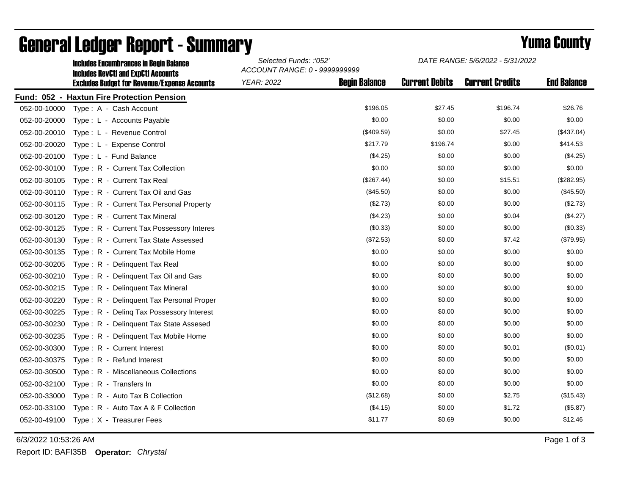|              | <b>Includes Encumbrances in Begin Balance</b>                                                     | Selected Funds: :'052'<br>ACCOUNT RANGE: 0 - 9999999999 |                      | DATE RANGE: 5/6/2022 - 5/31/2022 |                        |                    |
|--------------|---------------------------------------------------------------------------------------------------|---------------------------------------------------------|----------------------|----------------------------------|------------------------|--------------------|
|              | <b>Includes RevCtI and ExpCtI Accounts</b><br><b>Excludes Budget for Revenue/Expense Accounts</b> | <b>YEAR: 2022</b>                                       | <b>Begin Balance</b> | <b>Current Debits</b>            | <b>Current Credits</b> | <b>End Balance</b> |
|              | Fund: 052 - Haxtun Fire Protection Pension                                                        |                                                         |                      |                                  |                        |                    |
| 052-00-10000 | Type: A - Cash Account                                                                            |                                                         | \$196.05             | \$27.45                          | \$196.74               | \$26.76            |
| 052-00-20000 | Type: L - Accounts Payable                                                                        |                                                         | \$0.00               | \$0.00                           | \$0.00                 | \$0.00             |
| 052-00-20010 | Type: L - Revenue Control                                                                         |                                                         | (\$409.59)           | \$0.00                           | \$27.45                | (\$437.04)         |
| 052-00-20020 | Type: L - Expense Control                                                                         |                                                         | \$217.79             | \$196.74                         | \$0.00                 | \$414.53           |
| 052-00-20100 | Type: L - Fund Balance                                                                            |                                                         | (\$4.25)             | \$0.00                           | \$0.00                 | (\$4.25)           |
| 052-00-30100 | Type: R - Current Tax Collection                                                                  |                                                         | \$0.00               | \$0.00                           | \$0.00                 | \$0.00             |
| 052-00-30105 | Type: R - Current Tax Real                                                                        |                                                         | (\$267.44)           | \$0.00                           | \$15.51                | (\$282.95)         |
| 052-00-30110 | Type: R - Current Tax Oil and Gas                                                                 |                                                         | $(\$45.50)$          | \$0.00                           | \$0.00                 | (\$45.50)          |
| 052-00-30115 | Type: R - Current Tax Personal Property                                                           |                                                         | (\$2.73)             | \$0.00                           | \$0.00                 | (\$2.73)           |
| 052-00-30120 | Type: R - Current Tax Mineral                                                                     |                                                         | (\$4.23)             | \$0.00                           | \$0.04                 | (\$4.27)           |
| 052-00-30125 | Type: R - Current Tax Possessory Interes                                                          |                                                         | $(\$0.33)$           | \$0.00                           | \$0.00                 | (\$0.33)           |
| 052-00-30130 | Type: R - Current Tax State Assessed                                                              |                                                         | (\$72.53)            | \$0.00                           | \$7.42                 | (\$79.95)          |
| 052-00-30135 | Type: R - Current Tax Mobile Home                                                                 |                                                         | \$0.00               | \$0.00                           | \$0.00                 | \$0.00             |
| 052-00-30205 | Type: R - Delinguent Tax Real                                                                     |                                                         | \$0.00               | \$0.00                           | \$0.00                 | \$0.00             |
| 052-00-30210 | Type: R - Delinquent Tax Oil and Gas                                                              |                                                         | \$0.00               | \$0.00                           | \$0.00                 | \$0.00             |
| 052-00-30215 | Type: R - Delinquent Tax Mineral                                                                  |                                                         | \$0.00               | \$0.00                           | \$0.00                 | \$0.00             |
| 052-00-30220 | Type: R - Delinquent Tax Personal Proper                                                          |                                                         | \$0.00               | \$0.00                           | \$0.00                 | \$0.00             |
| 052-00-30225 | Type: R - Deling Tax Possessory Interest                                                          |                                                         | \$0.00               | \$0.00                           | \$0.00                 | \$0.00             |
| 052-00-30230 | Type: R - Delinquent Tax State Assesed                                                            |                                                         | \$0.00               | \$0.00                           | \$0.00                 | \$0.00             |
| 052-00-30235 | Type: R - Delinquent Tax Mobile Home                                                              |                                                         | \$0.00               | \$0.00                           | \$0.00                 | \$0.00             |
| 052-00-30300 | Type: R - Current Interest                                                                        |                                                         | \$0.00               | \$0.00                           | \$0.01                 | (\$0.01)           |
| 052-00-30375 | Type: R - Refund Interest                                                                         |                                                         | \$0.00               | \$0.00                           | \$0.00                 | \$0.00             |
| 052-00-30500 | Type: R - Miscellaneous Collections                                                               |                                                         | \$0.00               | \$0.00                           | \$0.00                 | \$0.00             |
| 052-00-32100 | Type: R - Transfers In                                                                            |                                                         | \$0.00               | \$0.00                           | \$0.00                 | \$0.00             |
| 052-00-33000 | Type: R - Auto Tax B Collection                                                                   |                                                         | (\$12.68)            | \$0.00                           | \$2.75                 | (\$15.43)          |
| 052-00-33100 | Type: R - Auto Tax A & F Collection                                                               |                                                         | (\$4.15)             | \$0.00                           | \$1.72                 | (\$5.87)           |
| 052-00-49100 | Type: X - Treasurer Fees                                                                          |                                                         | \$11.77              | \$0.69                           | \$0.00                 | \$12.46            |

## General Ledger Report - Summary **Selected Europe 2008 County** Yuma County

6/3/2022 10:53:26 AM Page 1 of 3

Report ID: BAFI35B **Operator:** *Chrystal*

*DATE RANGE: 5/6/2022 - 5/31/2022*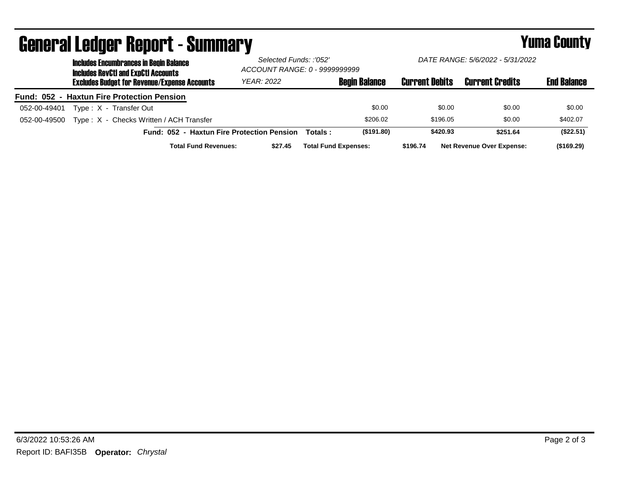| <b>Includes Encumbrances in Begin Balance</b>           |                                            | Selected Funds: :'052'<br>ACCOUNT RANGE: 0 - 9999999999 |                       | DATE RANGE: 5/6/2022 - 5/31/2022 |                    |
|---------------------------------------------------------|--------------------------------------------|---------------------------------------------------------|-----------------------|----------------------------------|--------------------|
| <b>Includes RevCtI and ExpCtI Accounts</b>              |                                            |                                                         |                       |                                  |                    |
| <b>Excludes Budget for Revenue/Expense Accounts</b>     | YEAR: 2022                                 | <b>Begin Balance</b>                                    | <b>Current Debits</b> | <b>Current Credits</b>           | <b>End Balance</b> |
| Fund: 052 - Haxtun Fire Protection Pension              |                                            |                                                         |                       |                                  |                    |
| Type: X - Transfer Out<br>052-00-49401                  |                                            | \$0.00                                                  | \$0.00                | \$0.00                           | \$0.00             |
| Type: X - Checks Written / ACH Transfer<br>052-00-49500 |                                            | \$206.02                                                | \$196.05              | \$0.00                           | \$402.07           |
|                                                         | Fund: 052 - Haxtun Fire Protection Pension | (\$191.80)<br>Totals :                                  | \$420.93              | \$251.64                         | (\$22.51)          |
| <b>Total Fund Revenues:</b>                             | \$27.45                                    | <b>Total Fund Expenses:</b>                             | \$196.74              | <b>Net Revenue Over Expense:</b> | (\$169.29)         |

## General Ledger Report - Summary **Example 2018** Yuma County